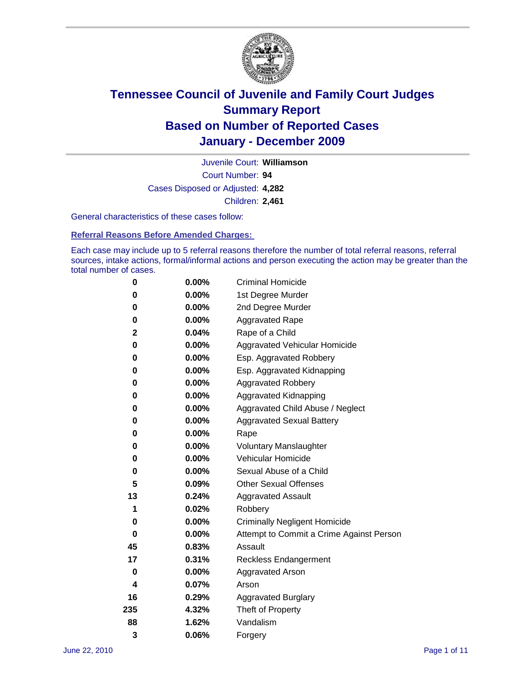

Court Number: **94** Juvenile Court: **Williamson** Cases Disposed or Adjusted: **4,282** Children: **2,461**

General characteristics of these cases follow:

**Referral Reasons Before Amended Charges:** 

Each case may include up to 5 referral reasons therefore the number of total referral reasons, referral sources, intake actions, formal/informal actions and person executing the action may be greater than the total number of cases.

| 0   | $0.00\%$ | <b>Criminal Homicide</b>                 |
|-----|----------|------------------------------------------|
| 0   | 0.00%    | 1st Degree Murder                        |
| 0   | $0.00\%$ | 2nd Degree Murder                        |
| 0   | $0.00\%$ | <b>Aggravated Rape</b>                   |
| 2   | 0.04%    | Rape of a Child                          |
| 0   | 0.00%    | Aggravated Vehicular Homicide            |
| 0   | 0.00%    | Esp. Aggravated Robbery                  |
| 0   | $0.00\%$ | Esp. Aggravated Kidnapping               |
| 0   | $0.00\%$ | <b>Aggravated Robbery</b>                |
| 0   | $0.00\%$ | Aggravated Kidnapping                    |
| 0   | 0.00%    | Aggravated Child Abuse / Neglect         |
| 0   | $0.00\%$ | <b>Aggravated Sexual Battery</b>         |
| 0   | 0.00%    | Rape                                     |
| 0   | $0.00\%$ | <b>Voluntary Manslaughter</b>            |
| 0   | 0.00%    | Vehicular Homicide                       |
| 0   | $0.00\%$ | Sexual Abuse of a Child                  |
| 5   | 0.09%    | <b>Other Sexual Offenses</b>             |
| 13  | 0.24%    | <b>Aggravated Assault</b>                |
| 1   | 0.02%    | Robbery                                  |
| 0   | 0.00%    | <b>Criminally Negligent Homicide</b>     |
| 0   | $0.00\%$ | Attempt to Commit a Crime Against Person |
| 45  | 0.83%    | Assault                                  |
| 17  | 0.31%    | <b>Reckless Endangerment</b>             |
| 0   | 0.00%    | <b>Aggravated Arson</b>                  |
| 4   | 0.07%    | Arson                                    |
| 16  | 0.29%    | <b>Aggravated Burglary</b>               |
| 235 | 4.32%    | Theft of Property                        |
| 88  | 1.62%    | Vandalism                                |
| 3   | 0.06%    | Forgery                                  |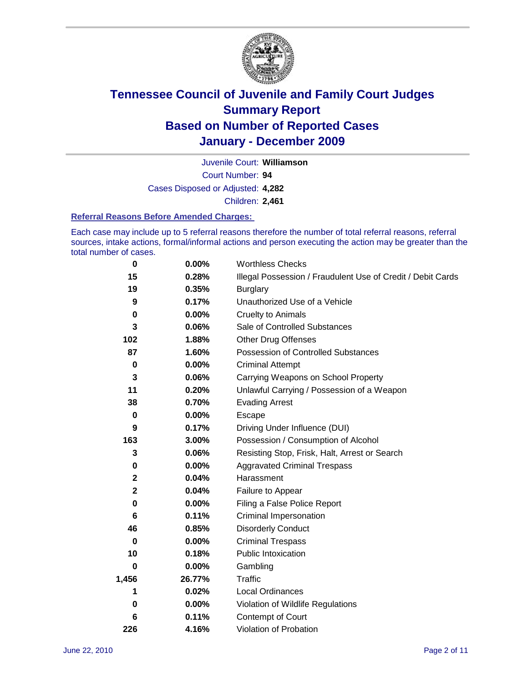

Court Number: **94** Juvenile Court: **Williamson** Cases Disposed or Adjusted: **4,282** Children: **2,461**

#### **Referral Reasons Before Amended Charges:**

Each case may include up to 5 referral reasons therefore the number of total referral reasons, referral sources, intake actions, formal/informal actions and person executing the action may be greater than the total number of cases.

| 0     | 0.00%    | <b>Worthless Checks</b>                                     |
|-------|----------|-------------------------------------------------------------|
| 15    | 0.28%    | Illegal Possession / Fraudulent Use of Credit / Debit Cards |
| 19    | 0.35%    | <b>Burglary</b>                                             |
| 9     | 0.17%    | Unauthorized Use of a Vehicle                               |
| 0     | $0.00\%$ | <b>Cruelty to Animals</b>                                   |
| 3     | 0.06%    | Sale of Controlled Substances                               |
| 102   | 1.88%    | <b>Other Drug Offenses</b>                                  |
| 87    | 1.60%    | Possession of Controlled Substances                         |
| 0     | $0.00\%$ | <b>Criminal Attempt</b>                                     |
| 3     | 0.06%    | Carrying Weapons on School Property                         |
| 11    | 0.20%    | Unlawful Carrying / Possession of a Weapon                  |
| 38    | 0.70%    | <b>Evading Arrest</b>                                       |
| 0     | $0.00\%$ | Escape                                                      |
| 9     | 0.17%    | Driving Under Influence (DUI)                               |
| 163   | 3.00%    | Possession / Consumption of Alcohol                         |
| 3     | 0.06%    | Resisting Stop, Frisk, Halt, Arrest or Search               |
| 0     | $0.00\%$ | <b>Aggravated Criminal Trespass</b>                         |
| 2     | 0.04%    | Harassment                                                  |
| 2     | 0.04%    | Failure to Appear                                           |
| 0     | $0.00\%$ | Filing a False Police Report                                |
| 6     | 0.11%    | <b>Criminal Impersonation</b>                               |
| 46    | 0.85%    | <b>Disorderly Conduct</b>                                   |
| 0     | 0.00%    | <b>Criminal Trespass</b>                                    |
| 10    | 0.18%    | <b>Public Intoxication</b>                                  |
| 0     | 0.00%    | Gambling                                                    |
| 1,456 | 26.77%   | <b>Traffic</b>                                              |
| 1     | 0.02%    | <b>Local Ordinances</b>                                     |
| 0     | 0.00%    | Violation of Wildlife Regulations                           |
| 6     | 0.11%    | Contempt of Court                                           |
| 226   | 4.16%    | Violation of Probation                                      |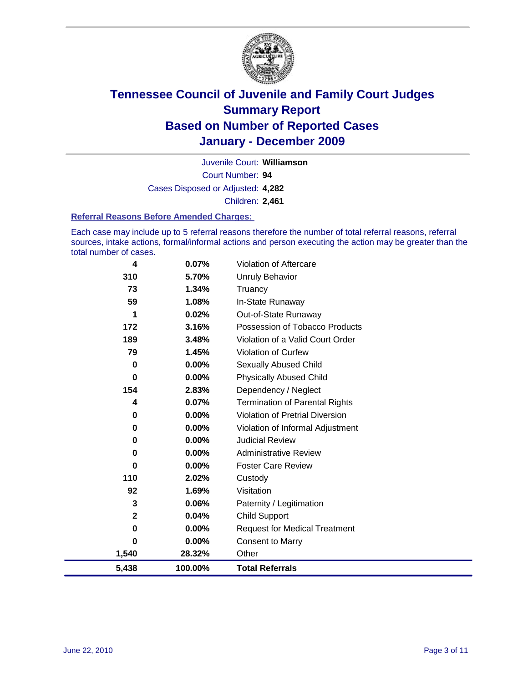

Court Number: **94** Juvenile Court: **Williamson** Cases Disposed or Adjusted: **4,282** Children: **2,461**

#### **Referral Reasons Before Amended Charges:**

Each case may include up to 5 referral reasons therefore the number of total referral reasons, referral sources, intake actions, formal/informal actions and person executing the action may be greater than the total number of cases.

| 4     | 0.07%    | Violation of Aftercare                 |
|-------|----------|----------------------------------------|
| 310   | 5.70%    | <b>Unruly Behavior</b>                 |
| 73    | 1.34%    | Truancy                                |
| 59    | 1.08%    | In-State Runaway                       |
| 1     | 0.02%    | Out-of-State Runaway                   |
| 172   | 3.16%    | Possession of Tobacco Products         |
| 189   | 3.48%    | Violation of a Valid Court Order       |
| 79    | 1.45%    | <b>Violation of Curfew</b>             |
| 0     | $0.00\%$ | Sexually Abused Child                  |
| 0     | $0.00\%$ | <b>Physically Abused Child</b>         |
| 154   | 2.83%    | Dependency / Neglect                   |
| 4     | 0.07%    | <b>Termination of Parental Rights</b>  |
| 0     | $0.00\%$ | <b>Violation of Pretrial Diversion</b> |
| 0     | $0.00\%$ | Violation of Informal Adjustment       |
| 0     | 0.00%    | <b>Judicial Review</b>                 |
| 0     | $0.00\%$ | <b>Administrative Review</b>           |
| 0     | $0.00\%$ | <b>Foster Care Review</b>              |
| 110   | 2.02%    | Custody                                |
| 92    | 1.69%    | Visitation                             |
| 3     | 0.06%    | Paternity / Legitimation               |
| 2     | 0.04%    | <b>Child Support</b>                   |
| 0     | 0.00%    | <b>Request for Medical Treatment</b>   |
| 0     | 0.00%    | <b>Consent to Marry</b>                |
| 1,540 | 28.32%   | Other                                  |
| 5,438 | 100.00%  | <b>Total Referrals</b>                 |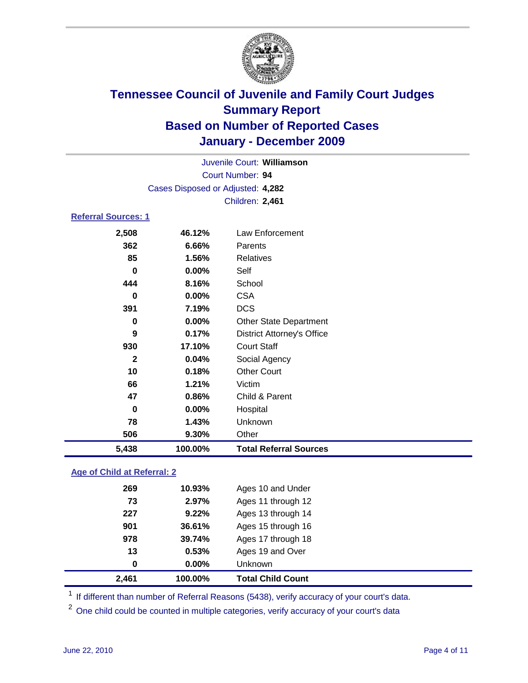

| 5,438                             | 100.00%                    | <b>Total Referral Sources</b>     |  |  |  |
|-----------------------------------|----------------------------|-----------------------------------|--|--|--|
| 506                               | 9.30%                      | Other                             |  |  |  |
| 78                                | 1.43%                      | Unknown                           |  |  |  |
| $\bf{0}$                          | 0.00%                      | Hospital                          |  |  |  |
| 47                                | 0.86%                      | Child & Parent                    |  |  |  |
| 66                                | 1.21%                      | Victim                            |  |  |  |
| 10                                | 0.18%                      | <b>Other Court</b>                |  |  |  |
| $\mathbf{2}$                      | 0.04%                      | Social Agency                     |  |  |  |
| 930                               | 17.10%                     | <b>Court Staff</b>                |  |  |  |
| 9                                 | 0.17%                      | <b>District Attorney's Office</b> |  |  |  |
| 0                                 | 0.00%                      | <b>Other State Department</b>     |  |  |  |
| 391                               | 7.19%                      | <b>DCS</b>                        |  |  |  |
| 0                                 | $0.00\%$                   | <b>CSA</b>                        |  |  |  |
| 444                               | 8.16%                      | School                            |  |  |  |
| $\bf{0}$                          | $0.00\%$                   | Self                              |  |  |  |
| 85                                | 1.56%                      | Relatives                         |  |  |  |
| 362                               | 6.66%                      | Parents                           |  |  |  |
| 2,508                             | 46.12%                     | Law Enforcement                   |  |  |  |
|                                   | <b>Referral Sources: 1</b> |                                   |  |  |  |
|                                   |                            | Children: 2,461                   |  |  |  |
| Cases Disposed or Adjusted: 4,282 |                            |                                   |  |  |  |
| <b>Court Number: 94</b>           |                            |                                   |  |  |  |
|                                   | Juvenile Court: Williamson |                                   |  |  |  |
|                                   |                            |                                   |  |  |  |

### **Age of Child at Referral: 2**

| 2,461<br>100.00% |                            | <b>Total Child Count</b> |
|------------------|----------------------------|--------------------------|
| 0                | $0.00\%$<br><b>Unknown</b> |                          |
| 13               | 0.53%                      | Ages 19 and Over         |
| 39.74%<br>978    |                            | Ages 17 through 18       |
| 901<br>36.61%    |                            | Ages 15 through 16       |
| 227              | 9.22%                      | Ages 13 through 14       |
| 73               | 2.97%                      | Ages 11 through 12       |
| 269              | 10.93%                     | Ages 10 and Under        |
|                  |                            |                          |

<sup>1</sup> If different than number of Referral Reasons (5438), verify accuracy of your court's data.

<sup>2</sup> One child could be counted in multiple categories, verify accuracy of your court's data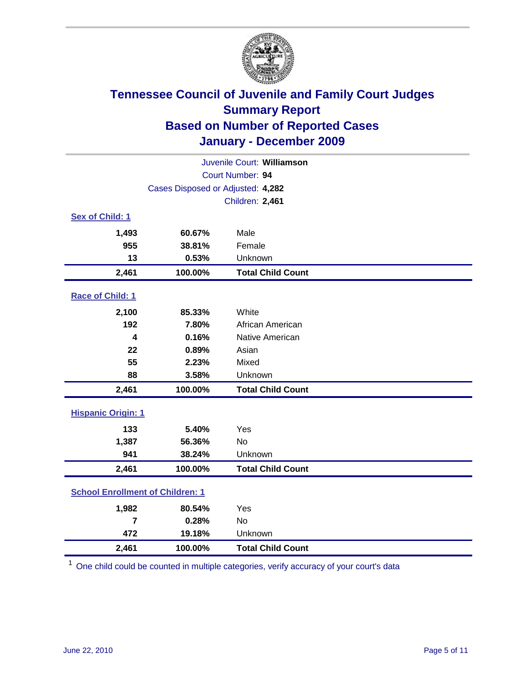

| Juvenile Court: Williamson              |                                   |                          |  |  |  |
|-----------------------------------------|-----------------------------------|--------------------------|--|--|--|
|                                         | Court Number: 94                  |                          |  |  |  |
|                                         | Cases Disposed or Adjusted: 4,282 |                          |  |  |  |
|                                         |                                   | Children: 2,461          |  |  |  |
| Sex of Child: 1                         |                                   |                          |  |  |  |
| 1,493                                   | 60.67%                            | Male                     |  |  |  |
| 955                                     | 38.81%                            | Female                   |  |  |  |
| 13                                      | 0.53%                             | Unknown                  |  |  |  |
| 2,461                                   | 100.00%                           | <b>Total Child Count</b> |  |  |  |
| Race of Child: 1                        |                                   |                          |  |  |  |
| 2,100                                   | 85.33%                            | White                    |  |  |  |
| 192                                     | 7.80%                             | African American         |  |  |  |
| 4                                       | 0.16%                             | Native American          |  |  |  |
| 22                                      | 0.89%                             | Asian                    |  |  |  |
| 55                                      | 2.23%                             | Mixed                    |  |  |  |
| 88                                      | 3.58%                             | Unknown                  |  |  |  |
| 2,461                                   | 100.00%                           | <b>Total Child Count</b> |  |  |  |
| <b>Hispanic Origin: 1</b>               |                                   |                          |  |  |  |
| 133                                     | 5.40%                             | Yes                      |  |  |  |
| 1,387                                   | 56.36%                            | <b>No</b>                |  |  |  |
| 941                                     | 38.24%                            | Unknown                  |  |  |  |
| 2,461                                   | 100.00%                           | <b>Total Child Count</b> |  |  |  |
| <b>School Enrollment of Children: 1</b> |                                   |                          |  |  |  |
| 1,982                                   | 80.54%                            | Yes                      |  |  |  |
| $\overline{7}$                          | 0.28%                             | <b>No</b>                |  |  |  |
| 472                                     | 19.18%                            | Unknown                  |  |  |  |
| 2,461                                   | 100.00%                           | <b>Total Child Count</b> |  |  |  |

<sup>1</sup> One child could be counted in multiple categories, verify accuracy of your court's data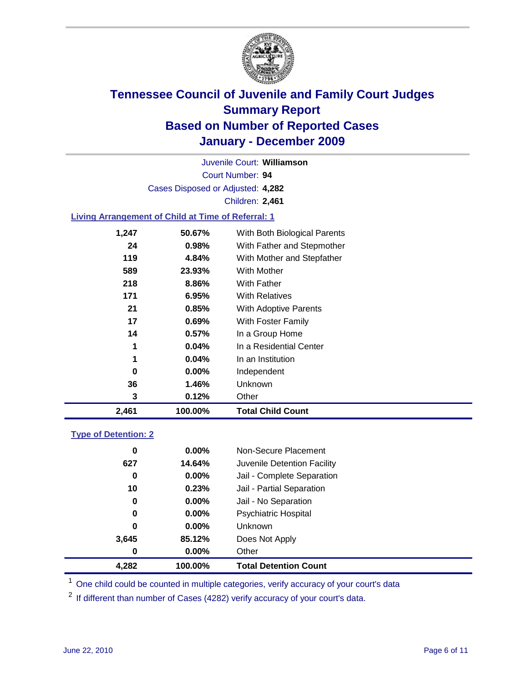

Court Number: **94** Juvenile Court: **Williamson** Cases Disposed or Adjusted: **4,282** Children: **2,461**

### **Living Arrangement of Child at Time of Referral: 1**

| 2,461 | 100.00%  | <b>Total Child Count</b>     |
|-------|----------|------------------------------|
| 3     | 0.12%    | Other                        |
| 36    | 1.46%    | <b>Unknown</b>               |
| 0     | $0.00\%$ | Independent                  |
| 1     | $0.04\%$ | In an Institution            |
| 1     | $0.04\%$ | In a Residential Center      |
| 14    | 0.57%    | In a Group Home              |
| 17    | 0.69%    | With Foster Family           |
| 21    | 0.85%    | With Adoptive Parents        |
| 171   | 6.95%    | <b>With Relatives</b>        |
| 218   | 8.86%    | With Father                  |
| 589   | 23.93%   | <b>With Mother</b>           |
| 119   | 4.84%    | With Mother and Stepfather   |
| 24    | 0.98%    | With Father and Stepmother   |
| 1,247 | 50.67%   | With Both Biological Parents |
|       |          |                              |

#### **Type of Detention: 2**

| 4,282 | 100.00%  | <b>Total Detention Count</b> |
|-------|----------|------------------------------|
| 0     | $0.00\%$ | Other                        |
| 3,645 | 85.12%   | Does Not Apply               |
| 0     | $0.00\%$ | Unknown                      |
| 0     | 0.00%    | <b>Psychiatric Hospital</b>  |
| 0     | 0.00%    | Jail - No Separation         |
| 10    | 0.23%    | Jail - Partial Separation    |
| 0     | 0.00%    | Jail - Complete Separation   |
| 627   | 14.64%   | Juvenile Detention Facility  |
| 0     | $0.00\%$ | Non-Secure Placement         |
|       |          |                              |

<sup>1</sup> One child could be counted in multiple categories, verify accuracy of your court's data

<sup>2</sup> If different than number of Cases (4282) verify accuracy of your court's data.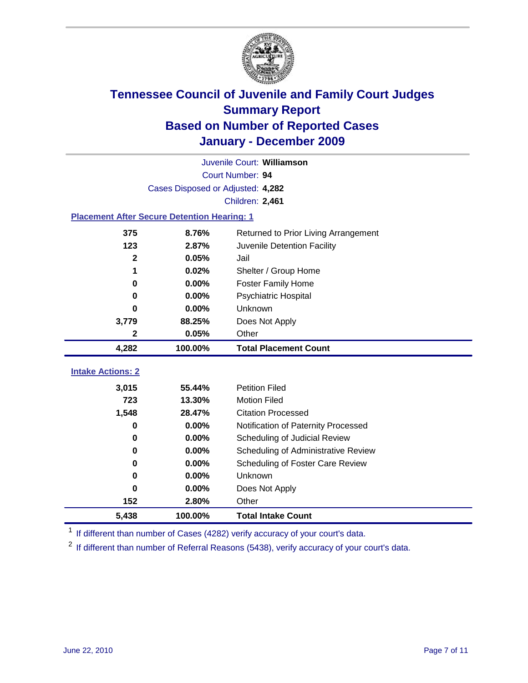

|                                                    | Juvenile Court: Williamson        |                                      |  |  |  |
|----------------------------------------------------|-----------------------------------|--------------------------------------|--|--|--|
|                                                    | Court Number: 94                  |                                      |  |  |  |
|                                                    | Cases Disposed or Adjusted: 4,282 |                                      |  |  |  |
|                                                    |                                   | Children: 2,461                      |  |  |  |
| <b>Placement After Secure Detention Hearing: 1</b> |                                   |                                      |  |  |  |
| 375                                                | 8.76%                             | Returned to Prior Living Arrangement |  |  |  |
| 123                                                | 2.87%                             | Juvenile Detention Facility          |  |  |  |
| $\mathbf{2}$                                       | 0.05%                             | Jail                                 |  |  |  |
| 1                                                  | 0.02%                             | Shelter / Group Home                 |  |  |  |
| 0                                                  | 0.00%                             | <b>Foster Family Home</b>            |  |  |  |
| $\bf{0}$                                           | 0.00%                             | Psychiatric Hospital                 |  |  |  |
| 0                                                  | 0.00%                             | Unknown                              |  |  |  |
| 3,779                                              | 88.25%                            | Does Not Apply                       |  |  |  |
| 2                                                  | 0.05%                             | Other                                |  |  |  |
| 4,282                                              | 100.00%                           | <b>Total Placement Count</b>         |  |  |  |
|                                                    |                                   |                                      |  |  |  |
|                                                    |                                   |                                      |  |  |  |
| <b>Intake Actions: 2</b>                           | 55.44%                            | <b>Petition Filed</b>                |  |  |  |
| 3,015<br>723                                       | 13.30%                            | <b>Motion Filed</b>                  |  |  |  |
| 1,548                                              | 28.47%                            | <b>Citation Processed</b>            |  |  |  |
| 0                                                  | 0.00%                             | Notification of Paternity Processed  |  |  |  |
| $\mathbf 0$                                        | 0.00%                             | Scheduling of Judicial Review        |  |  |  |
| 0                                                  | 0.00%                             | Scheduling of Administrative Review  |  |  |  |
| 0                                                  | 0.00%                             | Scheduling of Foster Care Review     |  |  |  |
| $\bf{0}$                                           | 0.00%                             | Unknown                              |  |  |  |
| 0                                                  | 0.00%                             | Does Not Apply                       |  |  |  |
| 152                                                | 2.80%                             | Other                                |  |  |  |

<sup>1</sup> If different than number of Cases (4282) verify accuracy of your court's data.

<sup>2</sup> If different than number of Referral Reasons (5438), verify accuracy of your court's data.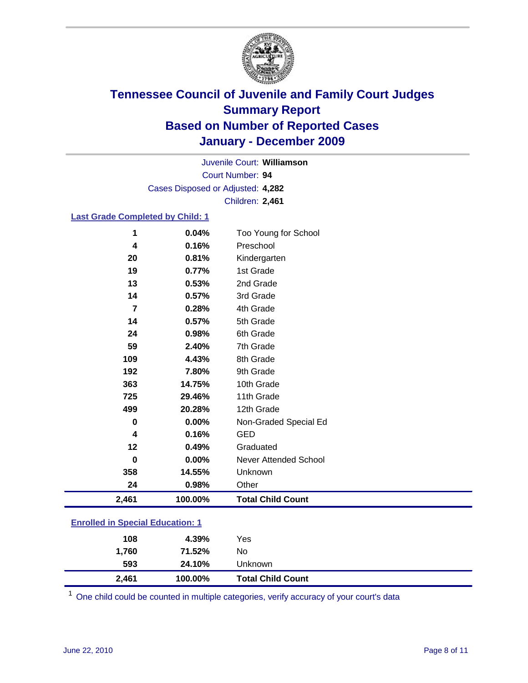

Court Number: **94** Juvenile Court: **Williamson** Cases Disposed or Adjusted: **4,282** Children: **2,461**

### **Last Grade Completed by Child: 1**

| 2,461          | 100.00% | <b>Total Child Count</b> |  |
|----------------|---------|--------------------------|--|
| 24             | 0.98%   | Other                    |  |
| 358            | 14.55%  | Unknown                  |  |
| 0              | 0.00%   | Never Attended School    |  |
| 12             | 0.49%   | Graduated                |  |
| 4              | 0.16%   | <b>GED</b>               |  |
| 0              | 0.00%   | Non-Graded Special Ed    |  |
| 499            | 20.28%  | 12th Grade               |  |
| 725            | 29.46%  | 11th Grade               |  |
| 363            | 14.75%  | 10th Grade               |  |
| 192            | 7.80%   | 9th Grade                |  |
| 109            | 4.43%   | 8th Grade                |  |
| 59             | 2.40%   | 7th Grade                |  |
| 24             | 0.98%   | 6th Grade                |  |
| 14             | 0.57%   | 5th Grade                |  |
| $\overline{7}$ | 0.28%   | 4th Grade                |  |
| 14             | 0.57%   | 3rd Grade                |  |
| 13             | 0.53%   | 2nd Grade                |  |
| 19             | 0.77%   | 1st Grade                |  |
| 20             | 0.81%   | Kindergarten             |  |
| 4              | 0.16%   | Preschool                |  |
| 1              | 0.04%   | Too Young for School     |  |

### **Enrolled in Special Education: 1**

| 2,461 | 100.00% | <b>Total Child Count</b> |  |
|-------|---------|--------------------------|--|
| 593   | 24.10%  | Unknown                  |  |
| 1,760 | 71.52%  | No                       |  |
| 108   | 4.39%   | Yes                      |  |
|       |         |                          |  |

One child could be counted in multiple categories, verify accuracy of your court's data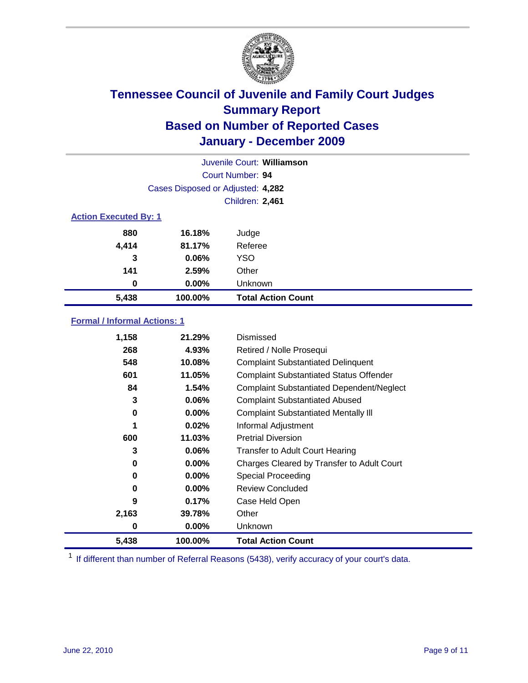

| Juvenile Court: Williamson   |                                   |                           |  |  |
|------------------------------|-----------------------------------|---------------------------|--|--|
|                              | Court Number: 94                  |                           |  |  |
|                              | Cases Disposed or Adjusted: 4,282 |                           |  |  |
|                              | <b>Children: 2,461</b>            |                           |  |  |
| <b>Action Executed By: 1</b> |                                   |                           |  |  |
| 880                          | 16.18%                            | Judge                     |  |  |
| 4,414                        | 81.17%                            | Referee                   |  |  |
| 3                            | 0.06%                             | <b>YSO</b>                |  |  |
| 141                          | 2.59%                             | Other                     |  |  |
| 0                            | 0.00%                             | Unknown                   |  |  |
| 5,438                        | 100.00%                           | <b>Total Action Count</b> |  |  |

### **Formal / Informal Actions: 1**

| 1,158 | 21.29%   | Dismissed                                        |
|-------|----------|--------------------------------------------------|
| 268   | 4.93%    | Retired / Nolle Prosequi                         |
| 548   | 10.08%   | <b>Complaint Substantiated Delinquent</b>        |
| 601   | 11.05%   | <b>Complaint Substantiated Status Offender</b>   |
| 84    | 1.54%    | <b>Complaint Substantiated Dependent/Neglect</b> |
| 3     | 0.06%    | <b>Complaint Substantiated Abused</b>            |
| 0     | $0.00\%$ | <b>Complaint Substantiated Mentally III</b>      |
| 1     | 0.02%    | Informal Adjustment                              |
| 600   | 11.03%   | <b>Pretrial Diversion</b>                        |
| 3     | $0.06\%$ | <b>Transfer to Adult Court Hearing</b>           |
| 0     | 0.00%    | Charges Cleared by Transfer to Adult Court       |
| 0     | $0.00\%$ | Special Proceeding                               |
| 0     | $0.00\%$ | <b>Review Concluded</b>                          |
| 9     | 0.17%    | Case Held Open                                   |
| 2,163 | 39.78%   | Other                                            |
| 0     | $0.00\%$ | <b>Unknown</b>                                   |
| 5,438 | 100.00%  | <b>Total Action Count</b>                        |

<sup>1</sup> If different than number of Referral Reasons (5438), verify accuracy of your court's data.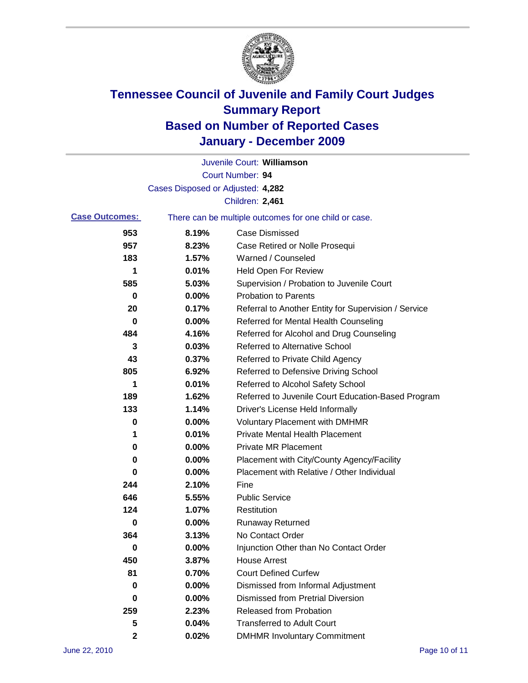

|                       |                                   | Juvenile Court: Williamson                            |
|-----------------------|-----------------------------------|-------------------------------------------------------|
|                       |                                   | Court Number: 94                                      |
|                       | Cases Disposed or Adjusted: 4,282 |                                                       |
|                       |                                   | Children: 2,461                                       |
| <b>Case Outcomes:</b> |                                   | There can be multiple outcomes for one child or case. |
| 953                   | 8.19%                             | <b>Case Dismissed</b>                                 |
| 957                   | 8.23%                             | Case Retired or Nolle Prosequi                        |
| 183                   | 1.57%                             | Warned / Counseled                                    |
| 1                     | 0.01%                             | <b>Held Open For Review</b>                           |
| 585                   | 5.03%                             | Supervision / Probation to Juvenile Court             |
| 0                     | 0.00%                             | <b>Probation to Parents</b>                           |
| 20                    | 0.17%                             | Referral to Another Entity for Supervision / Service  |
| 0                     | 0.00%                             | Referred for Mental Health Counseling                 |
| 484                   | 4.16%                             | Referred for Alcohol and Drug Counseling              |
| 3                     | 0.03%                             | <b>Referred to Alternative School</b>                 |
| 43                    | 0.37%                             | Referred to Private Child Agency                      |
| 805                   | 6.92%                             | Referred to Defensive Driving School                  |
| 1                     | 0.01%                             | Referred to Alcohol Safety School                     |
| 189                   | 1.62%                             | Referred to Juvenile Court Education-Based Program    |
| 133                   | 1.14%                             | Driver's License Held Informally                      |
| 0                     | 0.00%                             | <b>Voluntary Placement with DMHMR</b>                 |
| 1                     | 0.01%                             | <b>Private Mental Health Placement</b>                |
| 0                     | 0.00%                             | <b>Private MR Placement</b>                           |
| 0                     | 0.00%                             | Placement with City/County Agency/Facility            |
| 0                     | 0.00%                             | Placement with Relative / Other Individual            |
| 244                   | 2.10%                             | Fine                                                  |
| 646                   | 5.55%                             | <b>Public Service</b>                                 |
| 124                   | 1.07%                             | Restitution                                           |
| 0                     | 0.00%                             | <b>Runaway Returned</b>                               |
| 364                   | 3.13%                             | No Contact Order                                      |
| 0                     | 0.00%                             | Injunction Other than No Contact Order                |
| 450                   | 3.87%                             | <b>House Arrest</b>                                   |
| 81                    | 0.70%                             | <b>Court Defined Curfew</b>                           |
| 0                     | 0.00%                             | Dismissed from Informal Adjustment                    |
| 0                     | 0.00%                             | <b>Dismissed from Pretrial Diversion</b>              |
| 259                   | 2.23%                             | Released from Probation                               |
| 5                     | 0.04%                             | <b>Transferred to Adult Court</b>                     |
| 2                     | 0.02%                             | <b>DMHMR Involuntary Commitment</b>                   |